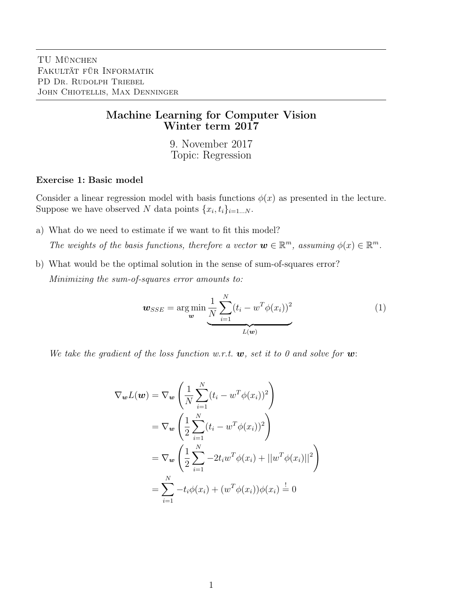## Machine Learning for Computer Vision Winter term 2017

9. November 2017 Topic: Regression

## Exercise 1: Basic model

Consider a linear regression model with basis functions  $\phi(x)$  as presented in the lecture. Suppose we have observed N data points  $\{x_i, t_i\}_{i=1...N}$ .

- a) What do we need to estimate if we want to fit this model? The weights of the basis functions, therefore a vector  $\mathbf{w} \in \mathbb{R}^m$ , assuming  $\phi(x) \in \mathbb{R}^m$ .
- b) What would be the optimal solution in the sense of sum-of-squares error? Minimizing the sum-of-squares error amounts to:

$$
\boldsymbol{w}_{SSE} = \arg\min_{\boldsymbol{w}} \frac{1}{N} \sum_{i=1}^{N} (t_i - w^T \phi(x_i))^2
$$
(1)

We take the gradient of the loss function w.r.t.  $w$ , set it to 0 and solve for  $w$ .

$$
\nabla_{\mathbf{w}} L(\mathbf{w}) = \nabla_{\mathbf{w}} \left( \frac{1}{N} \sum_{i=1}^{N} (t_i - w^T \phi(x_i))^2 \right)
$$
  
=  $\nabla_{\mathbf{w}} \left( \frac{1}{2} \sum_{i=1}^{N} (t_i - w^T \phi(x_i))^2 \right)$   
=  $\nabla_{\mathbf{w}} \left( \frac{1}{2} \sum_{i=1}^{N} -2t_i w^T \phi(x_i) + ||w^T \phi(x_i)||^2 \right)$   
=  $\sum_{i=1}^{N} -t_i \phi(x_i) + (w^T \phi(x_i)) \phi(x_i) \stackrel{!}{=} 0$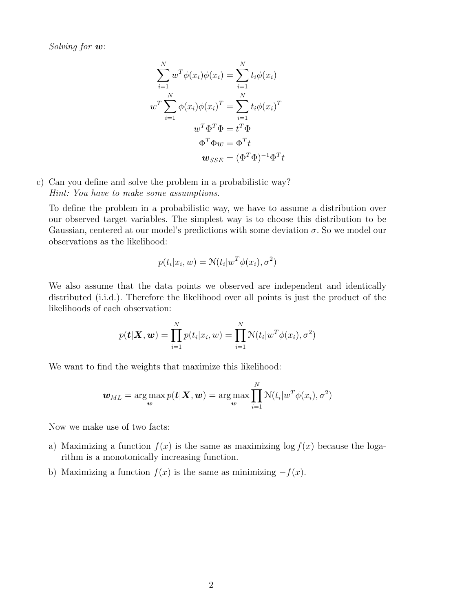Solving for  $w$ :

$$
\sum_{i=1}^{N} w^T \phi(x_i) \phi(x_i) = \sum_{i=1}^{N} t_i \phi(x_i)
$$

$$
w^T \sum_{i=1}^{N} \phi(x_i) \phi(x_i)^T = \sum_{i=1}^{N} t_i \phi(x_i)^T
$$

$$
w^T \Phi^T \Phi = t^T \Phi
$$

$$
\Phi^T \Phi w = \Phi^T t
$$

$$
\mathbf{w}_{SSE} = (\Phi^T \Phi)^{-1} \Phi^T t
$$

c) Can you define and solve the problem in a probabilistic way? Hint: You have to make some assumptions.

To define the problem in a probabilistic way, we have to assume a distribution over our observed target variables. The simplest way is to choose this distribution to be Gaussian, centered at our model's predictions with some deviation  $\sigma$ . So we model our observations as the likelihood:

$$
p(t_i|x_i, w) = \mathcal{N}(t_i|w^T\phi(x_i), \sigma^2)
$$

We also assume that the data points we observed are independent and identically distributed (i.i.d.). Therefore the likelihood over all points is just the product of the likelihoods of each observation:

$$
p(\boldsymbol{t}|\boldsymbol{X},\boldsymbol{w})=\prod_{i=1}^N p(t_i|x_i,w)=\prod_{i=1}^N \mathcal{N}(t_i|w^T\phi(x_i),\sigma^2)
$$

We want to find the weights that maximize this likelihood:

$$
\boldsymbol{w}_{ML} = \argmax_{\boldsymbol{w}} p(\boldsymbol{t}|\boldsymbol{X},\boldsymbol{w}) = \argmax_{\boldsymbol{w}} \prod_{i=1}^N \mathcal{N}(t_i|w^T\phi(x_i), \sigma^2)
$$

Now we make use of two facts:

- a) Maximizing a function  $f(x)$  is the same as maximizing  $\log f(x)$  because the logarithm is a monotonically increasing function.
- b) Maximizing a function  $f(x)$  is the same as minimizing  $-f(x)$ .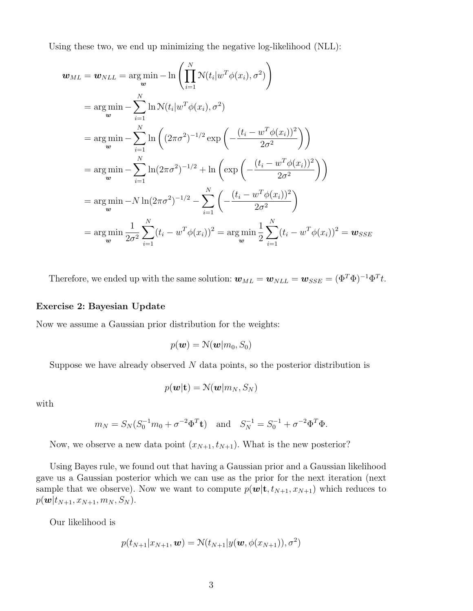Using these two, we end up minimizing the negative log-likelihood (NLL):

$$
\mathbf{w}_{ML} = \mathbf{w}_{NLL} = \underset{\mathbf{w}}{\arg \min} - \ln \left( \prod_{i=1}^{N} \mathcal{N}(t_i | w^T \phi(x_i), \sigma^2) \right)
$$
  
\n
$$
= \underset{\mathbf{w}}{\arg \min} - \sum_{i=1}^{N} \ln \mathcal{N}(t_i | w^T \phi(x_i), \sigma^2)
$$
  
\n
$$
= \underset{\mathbf{w}}{\arg \min} - \sum_{i=1}^{N} \ln \left( (2\pi\sigma^2)^{-1/2} \exp \left( -\frac{(t_i - w^T \phi(x_i))^2}{2\sigma^2} \right) \right)
$$
  
\n
$$
= \underset{\mathbf{w}}{\arg \min} - \sum_{i=1}^{N} \ln(2\pi\sigma^2)^{-1/2} + \ln \left( \exp \left( -\frac{(t_i - w^T \phi(x_i))^2}{2\sigma^2} \right) \right)
$$
  
\n
$$
= \underset{\mathbf{w}}{\arg \min} - N \ln(2\pi\sigma^2)^{-1/2} - \sum_{i=1}^{N} \left( -\frac{(t_i - w^T \phi(x_i))^2}{2\sigma^2} \right)
$$
  
\n
$$
= \underset{\mathbf{w}}{\arg \min} \frac{1}{2\sigma^2} \sum_{i=1}^{N} (t_i - w^T \phi(x_i))^2 = \underset{\mathbf{w}}{\arg \min} \frac{1}{2} \sum_{i=1}^{N} (t_i - w^T \phi(x_i))^2 = \mathbf{w}_{SSE}
$$

Therefore, we ended up with the same solution:  $\mathbf{w}_{ML} = \mathbf{w}_{NLL} = \mathbf{w}_{SSE} = (\Phi^T \Phi)^{-1} \Phi^T t$ .

## Exercise 2: Bayesian Update

Now we assume a Gaussian prior distribution for the weights:

$$
p(\boldsymbol{w}) = \mathcal{N}(\boldsymbol{w}|m_0, S_0)
$$

Suppose we have already observed  $N$  data points, so the posterior distribution is

$$
p(\boldsymbol{w}|\mathbf{t}) = \mathcal{N}(\boldsymbol{w}|m_N, S_N)
$$

with

$$
m_N = S_N (S_0^{-1} m_0 + \sigma^{-2} \Phi^T \mathbf{t})
$$
 and  $S_N^{-1} = S_0^{-1} + \sigma^{-2} \Phi^T \Phi$ .

Now, we observe a new data point  $(x_{N+1}, t_{N+1})$ . What is the new posterior?

Using Bayes rule, we found out that having a Gaussian prior and a Gaussian likelihood gave us a Gaussian posterior which we can use as the prior for the next iteration (next sample that we observe). Now we want to compute  $p(\mathbf{w}|\mathbf{t}, t_{N+1}, x_{N+1})$  which reduces to  $p(\mathbf{w}|t_{N+1}, x_{N+1}, m_N, S_N).$ 

Our likelihood is

$$
p(t_{N+1}|x_{N+1},\boldsymbol{w})=\mathcal{N}(t_{N+1}|y(\boldsymbol{w},\phi(x_{N+1})),\sigma^2)
$$